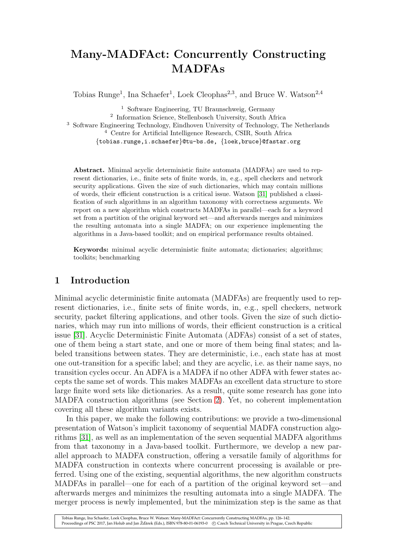# Many-MADFAct: Concurrently Constructing MADFAs

Tobias Runge<sup>1</sup>, Ina Schaefer<sup>1</sup>, Loek Cleophas<sup>2,3</sup>, and Bruce W. Watson<sup>2,4</sup>

 Software Engineering, TU Braunschweig, Germany Information Science, Stellenbosch University, South Africa Software Engineering Technology, Eindhoven University of Technology, The Netherlands Centre for Artificial Intelligence Research, CSIR, South Africa {tobias.runge,i.schaefer}@tu-bs.de, {loek,bruce}@fastar.org

Abstract. Minimal acyclic deterministic finite automata (MADFAs) are used to represent dictionaries, i.e., finite sets of finite words, in, e.g., spell checkers and network security applications. Given the size of such dictionaries, which may contain millions of words, their efficient construction is a critical issue. Watson [\[31\]](#page-16-0) published a classification of such algorithms in an algorithm taxonomy with correctness arguments. We report on a new algorithm which constructs MADFAs in parallel—each for a keyword set from a partition of the original keyword set—and afterwards merges and minimizes the resulting automata into a single MADFA; on our experience implementing the algorithms in a Java-based toolkit; and on empirical performance results obtained.

Keywords: minimal acyclic deterministic finite automata; dictionaries; algorithms; toolkits; benchmarking

# 1 Introduction

Minimal acyclic deterministic finite automata (MADFAs) are frequently used to represent dictionaries, i.e., finite sets of finite words, in, e.g., spell checkers, network security, packet filtering applications, and other tools. Given the size of such dictionaries, which may run into millions of words, their efficient construction is a critical issue [\[31\]](#page-16-0). Acyclic Deterministic Finite Automata (ADFAs) consist of a set of states, one of them being a start state, and one or more of them being final states; and labeled transitions between states. They are deterministic, i.e., each state has at most one out-transition for a specific label; and they are acyclic, i.e. as their name says, no transition cycles occur. An ADFA is a MADFA if no other ADFA with fewer states accepts the same set of words. This makes MADFAs an excellent data structure to store large finite word sets like dictionaries. As a result, quite some research has gone into MADFA construction algorithms (see Section [2\)](#page-1-0). Yet, no coherent implementation covering all these algorithm variants exists.

In this paper, we make the following contributions: we provide a two-dimensional presentation of Watson's implicit taxonomy of sequential MADFA construction algorithms [\[31\]](#page-16-0), as well as an implementation of the seven sequential MADFA algorithms from that taxonomy in a Java-based toolkit. Furthermore, we develop a new parallel approach to MADFA construction, offering a versatile family of algorithms for MADFA construction in contexts where concurrent processing is available or preferred. Using one of the existing, sequential algorithms, the new algorithm constructs MADFAs in parallel—one for each of a partition of the original keyword set—and afterwards merges and minimizes the resulting automata into a single MADFA. The merger process is newly implemented, but the minimization step is the same as that

Tobias Runge, Ina Schaefer, Loek Cleophas, Bruce W. Watson: Many-MADFAct: Concurrently Constructing MADFAs, pp. 126–142. Proceedings of PSC 2017, Jan Holub and Jan Žďárek (Eds.), ISBN 978-80-01-06193-0 (c) Czech Technical University in Prague, Czech Republic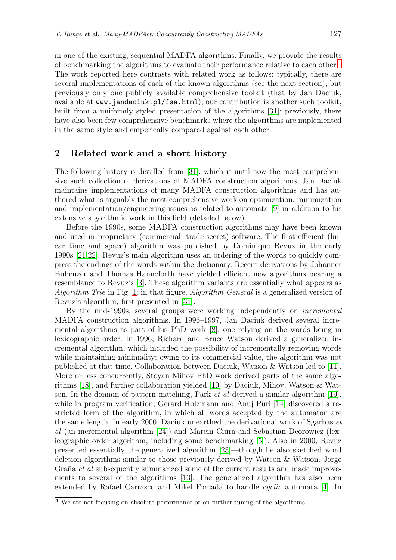in one of the existing, sequential MADFA algorithms. Finally, we provide the results of benchmarking the algorithms to evaluate their performance relative to each other.[1](#page-1-1) The work reported here contrasts with related work as follows: typically, there are several implementations of each of the known algorithms (see the next section), but previously only one publicly available comprehensive toolkit (that by Jan Daciuk, available at www.jandaciuk.pl/fsa.html); our contribution is another such toolkit, built from a uniformly styled presentation of the algorithms [\[31\]](#page-16-0); previously, there have also been few comprehensive benchmarks where the algorithms are implemented in the same style and emperically compared against each other.

## <span id="page-1-0"></span>2 Related work and a short history

The following history is distilled from [\[31\]](#page-16-0), which is until now the most comprehensive such collection of derivations of MADFA construction algorithms. Jan Daciuk maintains implementations of many MADFA construction algorithms and has authored what is arguably the most comprehensive work on optimization, minimization and implementation/engineering issues as related to automata [\[9\]](#page-15-0) in addition to his extensive algorithmic work in this field (detailed below).

Before the 1990s, some MADFA construction algorithms may have been known and used in proprietary (commercial, trade-secret) software. The first efficient (linear time and space) algorithm was published by Dominique Revuz in the early 1990s [\[21,](#page-15-1)[22\]](#page-15-2). Revuz's main algorithm uses an ordering of the words to quickly compress the endings of the words within the dictionary. Recent derivations by Johannes Bubenzer and Thomas Hanneforth have yielded efficient new algorithms bearing a resemblance to Revuz's [\[3\]](#page-15-3). These algorithm variants are essentially what appears as Algorithm Trie in Fig. [1;](#page-3-0) in that figure, Algorithm General is a generalized version of Revuz's algorithm, first presented in [\[31\]](#page-16-0).

By the mid-1990s, several groups were working independently on incremental MADFA construction algorithms. In 1996–1997, Jan Daciuk derived several incremental algorithms as part of his PhD work [\[8\]](#page-15-4): one relying on the words being in lexicographic order. In 1996, Richard and Bruce Watson derived a generalized incremental algorithm, which included the possibility of incrementally removing words while maintaining minimality; owing to its commercial value, the algorithm was not published at that time. Collaboration between Daciuk, Watson & Watson led to [\[11\]](#page-15-5). More or less concurrently, Stoyan Mihov PhD work derived parts of the same algorithms [\[18\]](#page-15-6), and further collaboration yielded [\[10\]](#page-15-7) by Daciuk, Mihov, Watson & Watson. In the domain of pattern matching, Park *et al* derived a similar algorithm [\[19\]](#page-15-8), while in program verification, Gerard Holzmann and Anuj Puri [\[14\]](#page-15-9) discovered a restricted form of the algorithm, in which all words accepted by the automaton are the same length. In early 2000, Daciuk unearthed the derivational work of Sgarbas et al (an incremental algorithm [\[24\]](#page-16-1)) and Marcin Ciura and Sebastian Deorowicz (lexicographic order algorithm, including some benchmarking [\[5\]](#page-15-10)). Also in 2000, Revuz presented essentially the generalized algorithm [\[23\]](#page-15-11)—though he also sketched word deletion algorithms similar to those previously derived by Watson & Watson. Jorge Graña et al subsequently summarized some of the current results and made improvements to several of the algorithms [\[13\]](#page-15-12). The generalized algorithm has also been extended by Rafael Carrasco and Mikel Forcada to handle cyclic automata [\[4\]](#page-15-13). In

<span id="page-1-1"></span><sup>&</sup>lt;sup>1</sup> We are not focusing on absolute performance or on further tuning of the algorithms.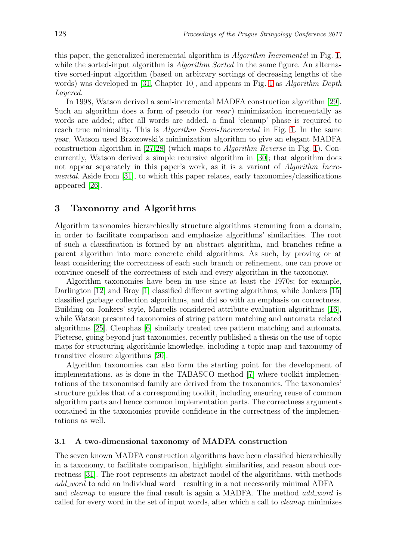this paper, the generalized incremental algorithm is Algorithm Incremental in Fig. [1,](#page-3-0) while the sorted-input algorithm is *Algorithm Sorted* in the same figure. An alternative sorted-input algorithm (based on arbitrary sortings of decreasing lengths of the words) was developed in [\[31,](#page-16-0) Chapter [1](#page-3-0)0], and appears in Fig. 1 as *Algorithm Depth* Layered.

In 1998, Watson derived a semi-incremental MADFA construction algorithm [\[29\]](#page-16-2). Such an algorithm does a form of pseudo (or *near*) minimization incrementally as words are added; after all words are added, a final 'cleanup' phase is required to reach true minimality. This is *Algorithm Semi-Incremental* in Fig. [1.](#page-3-0) In the same year, Watson used Brzozowski's minimization algorithm to give an elegant MADFA construction algorithm in [\[27,](#page-16-3)[28\]](#page-16-4) (which maps to Algorithm Reverse in Fig. [1\)](#page-3-0). Concurrently, Watson derived a simple recursive algorithm in [\[30\]](#page-16-5); that algorithm does not appear separately in this paper's work, as it is a variant of Algorithm Incremental. Aside from [\[31\]](#page-16-0), to which this paper relates, early taxonomies/classifications appeared [\[26\]](#page-16-6).

## <span id="page-2-0"></span>3 Taxonomy and Algorithms

Algorithm taxonomies hierarchically structure algorithms stemming from a domain, in order to facilitate comparison and emphasize algorithms' similarities. The root of such a classification is formed by an abstract algorithm, and branches refine a parent algorithm into more concrete child algorithms. As such, by proving or at least considering the correctness of each such branch or refinement, one can prove or convince oneself of the correctness of each and every algorithm in the taxonomy.

Algorithm taxonomies have been in use since at least the 1970s; for example, Darlington [\[12\]](#page-15-14) and Broy [\[1\]](#page-15-15) classified different sorting algorithms, while Jonkers [\[15\]](#page-15-16) classified garbage collection algorithms, and did so with an emphasis on correctness. Building on Jonkers' style, Marcelis considered attribute evaluation algorithms [\[16\]](#page-15-17), while Watson presented taxonomies of string pattern matching and automata related algorithms [\[25\]](#page-16-7). Cleophas [\[6\]](#page-15-18) similarly treated tree pattern matching and automata. Pieterse, going beyond just taxonomies, recently published a thesis on the use of topic maps for structuring algorithmic knowledge, including a topic map and taxonomy of transitive closure algorithms [\[20\]](#page-15-19).

Algorithm taxonomies can also form the starting point for the development of implementations, as is done in the TABASCO method [\[7\]](#page-15-20) where toolkit implementations of the taxonomised family are derived from the taxonomies. The taxonomies' structure guides that of a corresponding toolkit, including ensuring reuse of common algorithm parts and hence common implementation parts. The correctness arguments contained in the taxonomies provide confidence in the correctness of the implementations as well.

#### 3.1 A two-dimensional taxonomy of MADFA construction

The seven known MADFA construction algorithms have been classified hierarchically in a taxonomy, to facilitate comparison, highlight similarities, and reason about correctness [\[31\]](#page-16-0). The root represents an abstract model of the algorithms, with methods add word to add an individual word—resulting in a not necessarily minimal ADFAand *cleanup* to ensure the final result is again a MADFA. The method *add word* is called for every word in the set of input words, after which a call to cleanup minimizes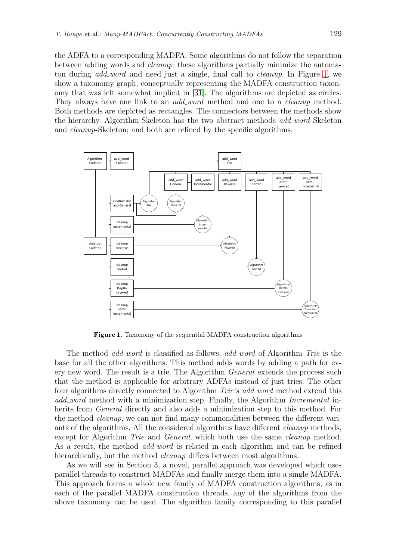the ADFA to a corresponding MADFA. Some algorithms do not follow the separation between adding words and cleanup; these algorithms partially minimize the automaton during add word and need just a single, final call to cleanup. In Figure [1,](#page-3-0) we show a taxonomy graph, conceptually representing the MADFA construction taxonomy that was left somewhat implicit in [\[31\]](#page-16-0). The algorithms are depicted as circles. They always have one link to an *add\_word* method and one to a *cleanup* method. Both methods are depicted as rectangles. The connectors between the methods show the hierarchy. Algorithm-Skeleton has the two abstract methods *add\_word*-Skeleton and cleanup-Skeleton; and both are refined by the specific algorithms.



<span id="page-3-0"></span>Figure 1. Taxonomy of the sequential MADFA construction algorithms

The method *add word* is classified as follows. *add word* of Algorithm Trie is the base for all the other algorithms. This method adds words by adding a path for every new word. The result is a trie. The Algorithm General extends the process such that the method is applicable for arbitrary ADFAs instead of just tries. The other four algorithms directly connected to Algorithm Trie's add word method extend this add word method with a minimization step. Finally, the Algorithm *Incremental* inherits from *General* directly and also adds a minimization step to this method. For the method cleanup, we can not find many commonalities between the different variants of the algorithms. All the considered algorithms have different cleanup methods, except for Algorithm Trie and General, which both use the same *cleanup* method. As a result, the method *add\_word* is related in each algorithm and can be refined hierarchically, but the method *cleanup* differs between most algorithms.

As we will see in Section 3, a novel, parallel approach was developed which uses parallel threads to construct MADFAs and finally merge them into a single MADFA. This approach forms a whole new family of MADFA construction algorithms, as in each of the parallel MADFA construction threads, any of the algorithms from the above taxonomy can be used. The algorithm family corresponding to this parallel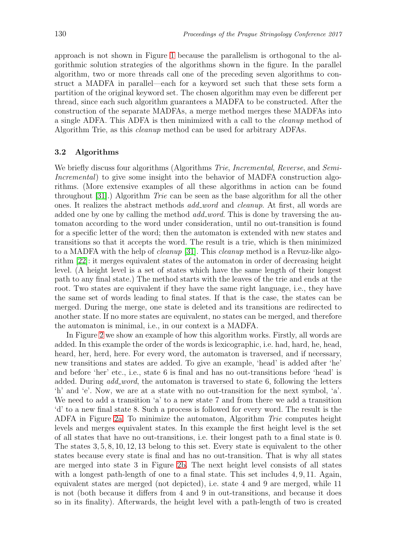approach is not shown in Figure [1](#page-3-0) because the parallelism is orthogonal to the algorithmic solution strategies of the algorithms shown in the figure. In the parallel algorithm, two or more threads call one of the preceding seven algorithms to construct a MADFA in parallel—each for a keyword set such that these sets form a partition of the original keyword set. The chosen algorithm may even be different per thread, since each such algorithm guarantees a MADFA to be constructed. After the construction of the separate MADFAs, a merge method merges these MADFAs into a single ADFA. This ADFA is then minimized with a call to the cleanup method of Algorithm Trie, as this cleanup method can be used for arbitrary ADFAs.

## 3.2 Algorithms

We briefly discuss four algorithms (Algorithms Trie, Incremental, Reverse, and Semi-Incremental) to give some insight into the behavior of MADFA construction algorithms. (More extensive examples of all these algorithms in action can be found throughout [\[31\]](#page-16-0).) Algorithm Trie can be seen as the base algorithm for all the other ones. It realizes the abstract methods add word and cleanup. At first, all words are added one by one by calling the method  $add\_word$ . This is done by traversing the automaton according to the word under consideration, until no out-transition is found for a specific letter of the word; then the automaton is extended with new states and transitions so that it accepts the word. The result is a trie, which is then minimized to a MADFA with the help of cleanup [\[31\]](#page-16-0). This cleanup method is a Revuz-like algorithm [\[22\]](#page-15-2): it merges equivalent states of the automaton in order of decreasing height level. (A height level is a set of states which have the same length of their longest path to any final state.) The method starts with the leaves of the trie and ends at the root. Two states are equivalent if they have the same right language, i.e., they have the same set of words leading to final states. If that is the case, the states can be merged. During the merge, one state is deleted and its transitions are redirected to another state. If no more states are equivalent, no states can be merged, and therefore the automaton is minimal, i.e., in our context is a MADFA.

In Figure [2](#page-5-0) we show an example of how this algorithm works. Firstly, all words are added. In this example the order of the words is lexicographic, i.e. had, hard, he, head, heard, her, herd, here. For every word, the automaton is traversed, and if necessary, new transitions and states are added. To give an example, 'head' is added after 'he' and before 'her' etc., i.e., state 6 is final and has no out-transitions before 'head' is added. During *add\_word*, the automaton is traversed to state 6, following the letters 'h' and 'e'. Now, we are at a state with no out-transition for the next symbol, 'a'. We need to add a transition 'a' to a new state 7 and from there we add a transition 'd' to a new final state 8. Such a process is followed for every word. The result is the ADFA in Figure [2a.](#page-5-1) To minimize the automaton, Algorithm Trie computes height levels and merges equivalent states. In this example the first height level is the set of all states that have no out-transitions, i.e. their longest path to a final state is 0. The states 3, 5, 8, 10, 12, 13 belong to this set. Every state is equivalent to the other states because every state is final and has no out-transition. That is why all states are merged into state 3 in Figure [2b.](#page-5-2) The next height level consists of all states with a longest path-length of one to a final state. This set includes 4, 9, 11. Again, equivalent states are merged (not depicted), i.e. state 4 and 9 are merged, while 11 is not (both because it differs from 4 and 9 in out-transitions, and because it does so in its finality). Afterwards, the height level with a path-length of two is created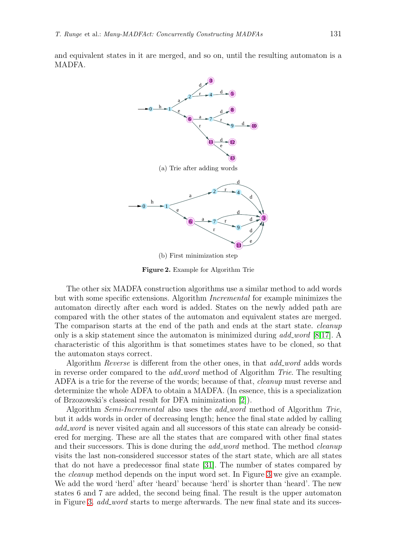<span id="page-5-2"></span><span id="page-5-1"></span>and equivalent states in it are merged, and so on, until the resulting automaton is a MADFA.



<span id="page-5-0"></span>Figure 2. Example for Algorithm Trie

The other six MADFA construction algorithms use a similar method to add words but with some specific extensions. Algorithm Incremental for example minimizes the automaton directly after each word is added. States on the newly added path are compared with the other states of the automaton and equivalent states are merged. The comparison starts at the end of the path and ends at the start state. *cleanup* only is a skip statement since the automaton is minimized during  $add\_word$  [\[8](#page-15-4)[,17\]](#page-15-21). A characteristic of this algorithm is that sometimes states have to be cloned, so that the automaton stays correct.

Algorithm *Reverse* is different from the other ones, in that *add word* adds words in reverse order compared to the *add\_word* method of Algorithm Trie. The resulting ADFA is a trie for the reverse of the words; because of that, cleanup must reverse and determinize the whole ADFA to obtain a MADFA. (In essence, this is a specialization of Brzozowski's classical result for DFA minimization [\[2\]](#page-15-22)).

Algorithm *Semi-Incremental* also uses the *add word* method of Algorithm *Trie*, but it adds words in order of decreasing length; hence the final state added by calling add word is never visited again and all successors of this state can already be considered ered for merging. These are all the states that are compared with other final states and their successors. This is done during the *add\_word* method. The method *cleanup* visits the last non-considered successor states of the start state, which are all states that do not have a predecessor final state [\[31\]](#page-16-0). The number of states compared by the cleanup method depends on the input word set. In Figure [3](#page-6-0) we give an example. We add the word 'herd' after 'heard' because 'herd' is shorter than 'heard'. The new states 6 and 7 are added, the second being final. The result is the upper automaton in Figure [3.](#page-6-0) add\_word starts to merge afterwards. The new final state and its succes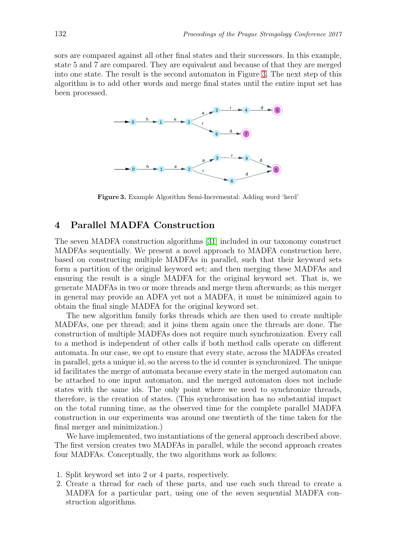sors are compared against all other final states and their successors. In this example, state 5 and 7 are compared. They are equivalent and because of that they are merged into one state. The result is the second automaton in Figure [3.](#page-6-0) The next step of this algorithm is to add other words and merge final states until the entire input set has been processed.



<span id="page-6-0"></span>Figure 3. Example Algorithm Semi-Incremental: Adding word 'herd'

## 4 Parallel MADFA Construction

The seven MADFA construction algorithms [\[31\]](#page-16-0) included in our taxonomy construct MADFAs sequentially. We present a novel approach to MADFA construction here, based on constructing multiple MADFAs in parallel, such that their keyword sets form a partition of the original keyword set; and then merging these MADFAs and ensuring the result is a single MADFA for the original keyword set. That is, we generate MADFAs in two or more threads and merge them afterwards; as this merger in general may provide an ADFA yet not a MADFA, it must be minimized again to obtain the final single MADFA for the original keyword set.

The new algorithm family forks threads which are then used to create multiple MADFAs, one per thread; and it joins them again once the threads are done. The construction of multiple MADFAs does not require much synchronization. Every call to a method is independent of other calls if both method calls operate on different automata. In our case, we opt to ensure that every state, across the MADFAs created in parallel, gets a unique id, so the access to the id counter is synchronized. The unique id facilitates the merge of automata because every state in the merged automaton can be attached to one input automaton, and the merged automaton does not include states with the same ids. The only point where we need to synchronize threads, therefore, is the creation of states. (This synchronisation has no substantial impact on the total running time, as the observed time for the complete parallel MADFA construction in our experiments was around one twentieth of the time taken for the final merger and minimization.)

We have implemented, two instantiations of the general approach described above. The first version creates two MADFAs in parallel, while the second approach creates four MADFAs. Conceptually, the two algorithms work as follows:

- 1. Split keyword set into 2 or 4 parts, respectively.
- 2. Create a thread for each of these parts, and use each such thread to create a MADFA for a particular part, using one of the seven sequential MADFA construction algorithms.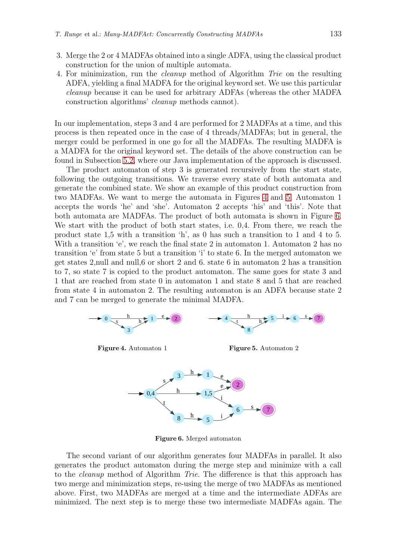- 3. Merge the 2 or 4 MADFAs obtained into a single ADFA, using the classical product construction for the union of multiple automata.
- 4. For minimization, run the cleanup method of Algorithm Trie on the resulting ADFA, yielding a final MADFA for the original keyword set. We use this particular cleanup because it can be used for arbitrary ADFAs (whereas the other MADFA construction algorithms' cleanup methods cannot).

In our implementation, steps 3 and 4 are performed for 2 MADFAs at a time, and this process is then repeated once in the case of 4 threads/MADFAs; but in general, the merger could be performed in one go for all the MADFAs. The resulting MADFA is a MADFA for the original keyword set. The details of the above construction can be found in Subsection [5.2,](#page-9-0) where our Java implementation of the approach is discussed.

The product automaton of step 3 is generated recursively from the start state, following the outgoing transitions. We traverse every state of both automata and generate the combined state. We show an example of this product construction from two MADFAs. We want to merge the automata in Figures [4](#page-7-0) and [5.](#page-7-1) Automaton 1 accepts the words 'he' and 'she'. Automaton 2 accepts 'his' and 'this'. Note that both automata are MADFAs. The product of both automata is shown in Figure [6.](#page-7-2) We start with the product of both start states, i.e. 0,4. From there, we reach the product state 1,5 with a transition 'h', as 0 has such a transition to 1 and 4 to 5. With a transition 'e', we reach the final state 2 in automaton 1. Automaton 2 has no transition 'e' from state 5 but a transition 'i' to state 6. In the merged automaton we get states 2,null and null,6 or short 2 and 6. state 6 in automaton 2 has a transition to 7, so state 7 is copied to the product automaton. The same goes for state 3 and 1 that are reached from state 0 in automaton 1 and state 8 and 5 that are reached from state 4 in automaton 2. The resulting automaton is an ADFA because state 2 and 7 can be merged to generate the minimal MADFA.



Figure 4. Automaton 1

<span id="page-7-1"></span>

6

7 s

<span id="page-7-0"></span>

<span id="page-7-2"></span>Figure 6. Merged automaton

The second variant of our algorithm generates four MADFAs in parallel. It also generates the product automaton during the merge step and minimize with a call to the *cleanup* method of Algorithm *Trie*. The difference is that this approach has two merge and minimization steps, re-using the merge of two MADFAs as mentioned above. First, two MADFAs are merged at a time and the intermediate ADFAs are minimized. The next step is to merge these two intermediate MADFAs again. The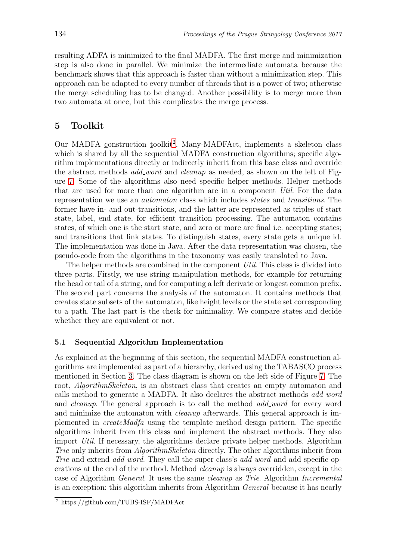resulting ADFA is minimized to the final MADFA. The first merge and minimization step is also done in parallel. We minimize the intermediate automata because the benchmark shows that this approach is faster than without a minimization step. This approach can be adapted to every number of threads that is a power of two; otherwise the merge scheduling has to be changed. Another possibility is to merge more than two automata at once, but this complicates the merge process.

## 5 Toolkit

Our MADFA construction toolkit<sup>[2](#page-8-0)</sup>, Many-MADFAct, implements a skeleton class which is shared by all the sequential MADFA construction algorithms; specific algorithm implementations directly or indirectly inherit from this base class and override the abstract methods *add\_word* and *cleanup* as needed, as shown on the left of Figure [7.](#page-9-1) Some of the algorithms also need specific helper methods. Helper methods that are used for more than one algorithm are in a component Util. For the data representation we use an automaton class which includes states and transitions. The former have in- and out-transitions, and the latter are represented as triples of start state, label, end state, for efficient transition processing. The automaton contains states, of which one is the start state, and zero or more are final i.e. accepting states; and transitions that link states. To distinguish states, every state gets a unique id. The implementation was done in Java. After the data representation was chosen, the pseudo-code from the algorithms in the taxonomy was easily translated to Java.

The helper methods are combined in the component Util. This class is divided into three parts. Firstly, we use string manipulation methods, for example for returning the head or tail of a string, and for computing a left derivate or longest common prefix. The second part concerns the analysis of the automaton. It contains methods that creates state subsets of the automaton, like height levels or the state set corresponding to a path. The last part is the check for minimality. We compare states and decide whether they are equivalent or not.

### 5.1 Sequential Algorithm Implementation

As explained at the beginning of this section, the sequential MADFA construction algorithms are implemented as part of a hierarchy, derived using the TABASCO process mentioned in Section [3.](#page-2-0) The class diagram is shown on the left side of Figure [7.](#page-9-1) The root, *AlgorithmSkeleton*, is an abstract class that creates an empty automaton and calls method to generate a MADFA. It also declares the abstract methods *add\_word* and *cleanup*. The general approach is to call the method *add word* for every word and minimize the automaton with cleanup afterwards. This general approach is implemented in createMadfa using the template method design pattern. The specific algorithms inherit from this class and implement the abstract methods. They also import Util. If necessary, the algorithms declare private helper methods. Algorithm Trie only inherits from *AlgorithmSkeleton* directly. The other algorithms inherit from Trie and extend add word. They call the super class's add word and add specific operations at the end of the method. Method cleanup is always overridden, except in the case of Algorithm General. It uses the same cleanup as Trie. Algorithm Incremental is an exception: this algorithm inherits from Algorithm General because it has nearly

<span id="page-8-0"></span><sup>2</sup> https://github.com/TUBS-ISF/MADFAct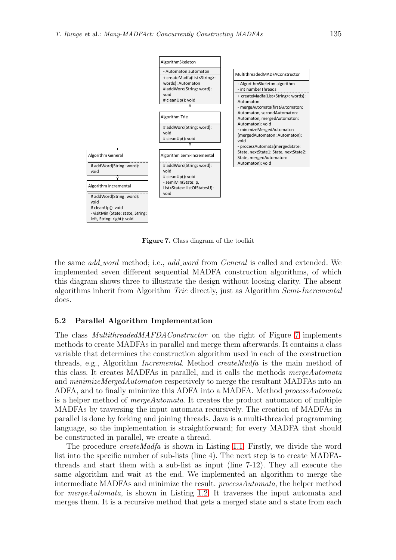

<span id="page-9-1"></span>Figure 7. Class diagram of the toolkit

the same *add word* method; i.e., *add word* from *General* is called and extended. We implemented seven different sequential MADFA construction algorithms, of which this diagram shows three to illustrate the design without loosing clarity. The absent algorithms inherit from Algorithm Trie directly, just as Algorithm Semi-Incremental does.

#### <span id="page-9-0"></span>5.2 Parallel Algorithm Implementation

The class *MultithreadedMAFDAConstructor* on the right of Figure [7](#page-9-1) implements methods to create MADFAs in parallel and merge them afterwards. It contains a class variable that determines the construction algorithm used in each of the construction threads, e.g., Algorithm Incremental. Method createMadfa is the main method of this class. It creates MADFAs in parallel, and it calls the methods mergeAutomata and minimizeMergedAutomaton respectively to merge the resultant MADFAs into an ADFA, and to finally minimize this ADFA into a MADFA. Method processAutomata is a helper method of mergeAutomata. It creates the product automaton of multiple MADFAs by traversing the input automata recursively. The creation of MADFAs in parallel is done by forking and joining threads. Java is a multi-threaded programming language, so the implementation is straightforward; for every MADFA that should be constructed in parallel, we create a thread.

The procedure *createMadfa* is shown in Listing [1.1.](#page-10-0) Firstly, we divide the word list into the specific number of sub-lists (line 4). The next step is to create MADFAthreads and start them with a sub-list as input (line 7-12). They all execute the same algorithm and wait at the end. We implemented an algorithm to merge the intermediate MADFAs and minimize the result. processAutomata, the helper method for mergeAutomata, is shown in Listing [1.2.](#page-11-0) It traverses the input automata and merges them. It is a recursive method that gets a merged state and a state from each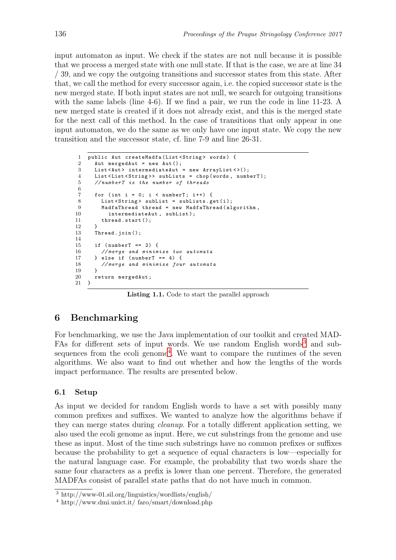input automaton as input. We check if the states are not null because it is possible that we process a merged state with one null state. If that is the case, we are at line 34 / 39, and we copy the outgoing transitions and successor states from this state. After that, we call the method for every successor again, i.e. the copied successor state is the new merged state. If both input states are not null, we search for outgoing transitions with the same labels (line 4-6). If we find a pair, we run the code in line 11-23. A new merged state is created if it does not already exist, and this is the merged state for the next call of this method. In the case of transitions that only appear in one input automaton, we do the same as we only have one input state. We copy the new transition and the successor state, cf. line 7-9 and line 26-31.

```
1 public Aut createMadfa ( List < String > words ) {
2 Aut mergedAut = new Aut();<br>3 List<Aut> intermediateAut
      List <Aut > intermediateAut = new ArrayList <> < ();
4 List < List < String >> subLists = chop ( words , numberT );
5 //numberT is the number of threads
6
7 for (int i = 0; i < number and j + j {<br>8 List<String> subList = subLists.g
        List <String > subList = subLists.get(i);
9 MadfaThread thread = new MadfaThread ( algorithm ,
10 intermediateAut, subList);
11 thread.start();
12 }
13 Thread.join();
14
15 if (numberT == 2) {
16 // merge and minimize two automata
17 } else if (numberT == 4) {
18 // merge and minimize four automata
19 }
20 return mergedAut ;
21 }
```
Listing 1.1. Code to start the parallel approach

## 6 Benchmarking

For benchmarking, we use the Java implementation of our toolkit and created MAD-FAs for different sets of input words. We use random English words<sup>[3](#page-10-1)</sup> and sub-sequences from the ecoli genome<sup>[4](#page-10-2)</sup>. We want to compare the runtimes of the seven algorithms. We also want to find out whether and how the lengths of the words impact performance. The results are presented below.

### 6.1 Setup

As input we decided for random English words to have a set with possibly many common prefixes and suffixes. We wanted to analyze how the algorithms behave if they can merge states during cleanup. For a totally different application setting, we also used the ecoli genome as input. Here, we cut substrings from the genome and use these as input. Most of the time such substrings have no common prefixes or suffixes because the probability to get a sequence of equal characters is low—especially for the natural language case. For example, the probability that two words share the same four characters as a prefix is lower than one percent. Therefore, the generated MADFAs consist of parallel state paths that do not have much in common.

<sup>3</sup> http://www-01.sil.org/linguistics/wordlists/english/

<span id="page-10-2"></span><span id="page-10-1"></span><sup>4</sup> http://www.dmi.unict.it/ faro/smart/download.php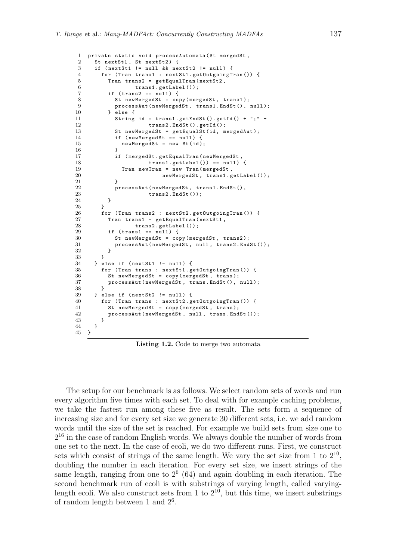```
1 private static void processAutomata ( St mergedSt ,
2 St nextSt1, St nextSt2) {
3 if ( nextSt1 != null && nextSt2 != null ) {
4 for ( Tran trans1 : nextSt1 . getOutgoingTran ()) {
5 Tran trans2 = getEqualTran (nextSt2,
6 trans1 . getLabel ());
7 if (trans2 == null) {
8 St newMergedSt = copy (mergedSt, trans1);<br>9 processAut(newMergedSt, trans1.EndSt().
9 processAut(newMergedSt, trans1.EndSt(), null);<br>10 } else {
          \} else {
11 String id = trans1 . getEndSt (). getId () + " ;" +
12 trans2.EndSt().getId();
13 St newMergedSt = getEqualSt(id, mergedAut);
14 if (newMergedSt == null) {
15 newMergedSt = new St(id);
\begin{array}{ccc} 16 & & & \textcolor{red}{\uparrow} \\ 17 & & & \textcolor{red}{\dot{\textbf{i}}} \end{array}if (mergedSt.getEqualTran (newMergedSt,
18 trans1.getLabel() = null) {
19 Tran newTran = new Tran (mergedSt,
20 newMergedSt, trans1.getLabel());
21    }
22 processAut ( newMergedSt , trans1 . EndSt () ,
23 trans2.EndSt());
\begin{array}{ccc} 24 & & & \rightarrow \\ 25 & & & \rightarrow \end{array}25 }
26 for (Tran trans2 : nextSt2.getOutgoingTran ()) {
27 Tran trans1 = getEqualTran ( nextSt1 ,
28 trans2.getLabel());
29 if (trans1 == null) {
30 St newMergedSt = copy ( mergedSt , trans2 );
31 processAut(newMergedSt, null, trans2.EndSt());
\begin{array}{ccc}\n 32 & & & \rightarrow \\
 33 & & & \rightarrow\n \end{array}33 }
34 } else if (nextSt1 != null) {
35 for (Tran trans : nextSt1.getOutgoingTran ()) {<br>36 St newMergedSt = copy(mergedSt, trans);
          St newMergedSt = copy (mergedSt, trans);
37 processAut (newMergedSt, trans. EndSt (), null);<br>38
38 }
39 } else if ( nextSt2 != null ) {
40 for ( Tran trans : nextSt2 . getOutgoingTran ()) {
41 St newMergedSt = copy ( mergedSt , trans );
42 processAut (newMergedSt, null, trans. EndSt());<br>43
4344 }
45 }
```
Listing 1.2. Code to merge two automata

The setup for our benchmark is as follows. We select random sets of words and run every algorithm five times with each set. To deal with for example caching problems, we take the fastest run among these five as result. The sets form a sequence of increasing size and for every set size we generate 30 different sets, i.e. we add random words until the size of the set is reached. For example we build sets from size one to 2 <sup>16</sup> in the case of random English words. We always double the number of words from one set to the next. In the case of ecoli, we do two different runs. First, we construct sets which consist of strings of the same length. We vary the set size from 1 to  $2^{10}$ , doubling the number in each iteration. For every set size, we insert strings of the same length, ranging from one to  $2^6$  (64) and again doubling in each iteration. The second benchmark run of ecoli is with substrings of varying length, called varyinglength ecoli. We also construct sets from 1 to  $2^{10}$ , but this time, we insert substrings of random length between 1 and 2<sup>6</sup> .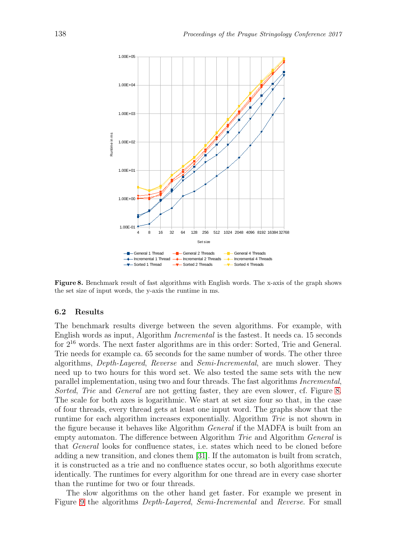

<span id="page-12-0"></span>Figure 8. Benchmark result of fast algorithms with English words. The x-axis of the graph shows the set size of input words, the y-axis the runtime in ms.

#### 6.2 Results

The benchmark results diverge between the seven algorithms. For example, with English words as input, Algorithm Incremental is the fastest. It needs ca. 15 seconds for 2<sup>16</sup> words. The next faster algorithms are in this order: Sorted, Trie and General. Trie needs for example ca. 65 seconds for the same number of words. The other three algorithms, Depth-Layered, Reverse and Semi-Incremental, are much slower. They need up to two hours for this word set. We also tested the same sets with the new parallel implementation, using two and four threads. The fast algorithms Incremental, Sorted, Trie and General are not getting faster, they are even slower, cf. Figure [8.](#page-12-0) The scale for both axes is logarithmic. We start at set size four so that, in the case of four threads, every thread gets at least one input word. The graphs show that the runtime for each algorithm increases exponentially. Algorithm Trie is not shown in the figure because it behaves like Algorithm General if the MADFA is built from an empty automaton. The difference between Algorithm Trie and Algorithm General is that General looks for confluence states, i.e. states which need to be cloned before adding a new transition, and clones them [\[31\]](#page-16-0). If the automaton is built from scratch, it is constructed as a trie and no confluence states occur, so both algorithms execute identically. The runtimes for every algorithm for one thread are in every case shorter than the runtime for two or four threads.

The slow algorithms on the other hand get faster. For example we present in Figure [9](#page-13-0) the algorithms Depth-Layered, Semi-Incremental and Reverse. For small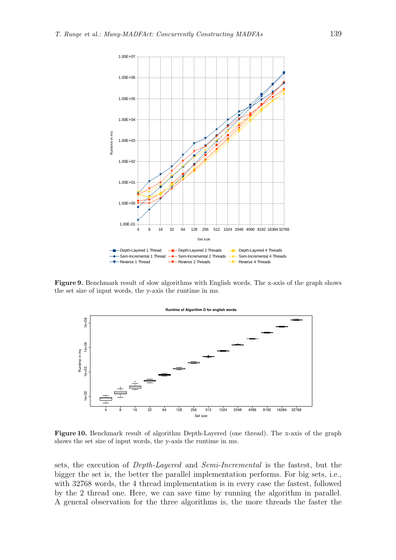

Figure 9. Benchmark result of slow algorithms with English words. The x-axis of the graph shows the set size of input words, the y-axis the runtime in ms.

<span id="page-13-0"></span>

<span id="page-13-1"></span>Figure 10. Benchmark result of algorithm Depth-Layered (one thread). The x-axis of the graph shows the set size of input words, the y-axis the runtime in ms.

sets, the execution of Depth-Layered and Semi-Incremental is the fastest, but the bigger the set is, the better the parallel implementation performs. For big sets, i.e., with 32768 words, the 4 thread implementation is in every case the fastest, followed by the 2 thread one. Here, we can save time by running the algorithm in parallel. A general observation for the three algorithms is, the more threads the faster the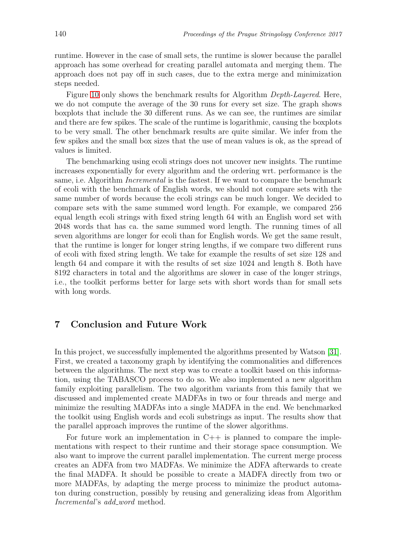runtime. However in the case of small sets, the runtime is slower because the parallel approach has some overhead for creating parallel automata and merging them. The approach does not pay off in such cases, due to the extra merge and minimization steps needed.

Figure [10](#page-13-1) only shows the benchmark results for Algorithm Depth-Layered. Here, we do not compute the average of the 30 runs for every set size. The graph shows boxplots that include the 30 different runs. As we can see, the runtimes are similar and there are few spikes. The scale of the runtime is logarithmic, causing the boxplots to be very small. The other benchmark results are quite similar. We infer from the few spikes and the small box sizes that the use of mean values is ok, as the spread of values is limited.

The benchmarking using ecoli strings does not uncover new insights. The runtime increases exponentially for every algorithm and the ordering wrt. performance is the same, i.e. Algorithm Incremental is the fastest. If we want to compare the benchmark of ecoli with the benchmark of English words, we should not compare sets with the same number of words because the ecoli strings can be much longer. We decided to compare sets with the same summed word length. For example, we compared 256 equal length ecoli strings with fixed string length 64 with an English word set with 2048 words that has ca. the same summed word length. The running times of all seven algorithms are longer for ecoli than for English words. We get the same result, that the runtime is longer for longer string lengths, if we compare two different runs of ecoli with fixed string length. We take for example the results of set size 128 and length 64 and compare it with the results of set size 1024 and length 8. Both have 8192 characters in total and the algorithms are slower in case of the longer strings, i.e., the toolkit performs better for large sets with short words than for small sets with long words.

# 7 Conclusion and Future Work

In this project, we successfully implemented the algorithms presented by Watson [\[31\]](#page-16-0). First, we created a taxonomy graph by identifying the commonalities and differences between the algorithms. The next step was to create a toolkit based on this information, using the TABASCO process to do so. We also implemented a new algorithm family exploiting parallelism. The two algorithm variants from this family that we discussed and implemented create MADFAs in two or four threads and merge and minimize the resulting MADFAs into a single MADFA in the end. We benchmarked the toolkit using English words and ecoli substrings as input. The results show that the parallel approach improves the runtime of the slower algorithms.

For future work an implementation in  $C++$  is planned to compare the implementations with respect to their runtime and their storage space consumption. We also want to improve the current parallel implementation. The current merge process creates an ADFA from two MADFAs. We minimize the ADFA afterwards to create the final MADFA. It should be possible to create a MADFA directly from two or more MADFAs, by adapting the merge process to minimize the product automaton during construction, possibly by reusing and generalizing ideas from Algorithm Incremental's add\_word method.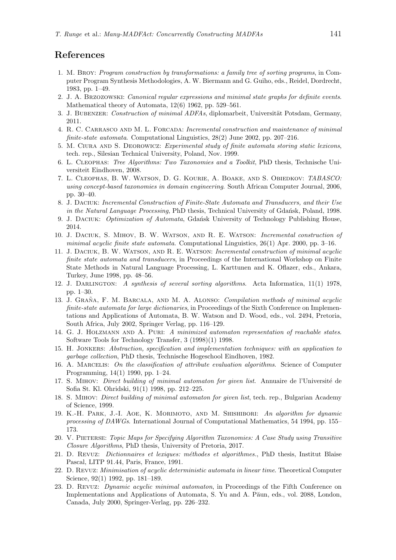## <span id="page-15-15"></span>References

- 1. M. Broy: *Program construction by transformations: a family tree of sorting programs*, in Computer Program Synthesis Methodologies, A. W. Biermann and G. Guiho, eds., Reidel, Dordrecht, 1983, pp. 1–49.
- <span id="page-15-22"></span><span id="page-15-3"></span>2. J. A. Brzozowski: *Canonical regular expressions and minimal state graphs for definite events*. Mathematical theory of Automata, 12(6) 1962, pp. 529–561.
- <span id="page-15-13"></span>3. J. BUBENZER: *Construction of minimal ADFAs*, diplomarbeit, Universität Potsdam, Germany, 2011.
- <span id="page-15-10"></span>4. R. C. Carrasco and M. L. Forcada: *Incremental construction and maintenance of minimal finite-state automata*. Computational Linguistics, 28(2) June 2002, pp. 207–216.
- <span id="page-15-18"></span>5. M. Ciura and S. Deorowicz: *Experimental study of finite automata storing static lexicons*, tech. rep., Silesian Technical University, Poland, Nov. 1999.
- <span id="page-15-20"></span>6. L. Cleophas: *Tree Algorithms: Two Taxonomies and a Toolkit*, PhD thesis, Technische Universiteit Eindhoven, 2008.
- 7. L. Cleophas, B. W. Watson, D. G. Kourie, A. Boake, and S. Obiedkov: *TABASCO: using concept-based taxonomies in domain engineering*. South African Computer Journal, 2006, pp. 30–40.
- <span id="page-15-4"></span>8. J. Daciuk: *Incremental Construction of Finite-State Automata and Transducers, and their Use in the Natural Language Processing*, PhD thesis, Technical University of Gdansk, Poland, 1998.
- <span id="page-15-7"></span><span id="page-15-0"></span>9. J. Daciuk: *Optimization of Automata*, Gda´nsk University of Technology Publishing House, 2014.
- 10. J. Daciuk, S. Mihov, B. W. Watson, and R. E. Watson: *Incremental construction of minimal acyclic finite state automata*. Computational Linguistics, 26(1) Apr. 2000, pp. 3–16.
- <span id="page-15-5"></span>11. J. Daciuk, B. W. Watson, and R. E. Watson: *Incremental construction of minimal acyclic finite state automata and transducers*, in Proceedings of the International Workshop on Finite State Methods in Natural Language Processing, L. Karttunen and K. Oflazer, eds., Ankara, Turkey, June 1998, pp. 48–56.
- <span id="page-15-14"></span><span id="page-15-12"></span>12. J. Darlington: *A synthesis of several sorting algorithms*. Acta Informatica, 11(1) 1978, pp. 1–30.
- 13. J. GRAÑA, F. M. BARCALA, AND M. A. ALONSO: *Compilation methods of minimal acyclic finite-state automata for large dictionaries*, in Proceedings of the Sixth Conference on Implementations and Applications of Automata, B. W. Watson and D. Wood, eds., vol. 2494, Pretoria, South Africa, July 2002, Springer Verlag, pp. 116–129.
- <span id="page-15-9"></span>14. G. J. Holzmann and A. Puri: *A minimized automaton representation of reachable states*. Software Tools for Technology Transfer, 3 (1998)(1) 1998.
- <span id="page-15-16"></span>15. H. Jonkers: *Abstraction, specification and implementation techniques: with an application to garbage collection*, PhD thesis, Technische Hogeschool Eindhoven, 1982.
- <span id="page-15-17"></span>16. A. Marcelis: *On the classification of attribute evaluation algorithms*. Science of Computer Programming, 14(1) 1990, pp. 1–24.
- <span id="page-15-21"></span>17. S. Mihov: *Direct building of minimal automaton for given list*. Annuaire de l'Universit´e de Sofia St. Kl. Ohridski, 91(1) 1998, pp. 212–225.
- <span id="page-15-6"></span>18. S. Mihov: *Direct building of minimal automaton for given list*, tech. rep., Bulgarian Academy of Science, 1999.
- <span id="page-15-8"></span>19. K.-H. Park, J.-I. Aoe, K. Morimoto, and M. Shishibori: *An algorithm for dynamic processing of DAWGs*. International Journal of Computational Mathematics, 54 1994, pp. 155– 173.
- <span id="page-15-19"></span>20. V. Pieterse: *Topic Maps for Specifying Algorithm Taxonomies: A Case Study using Transitive Closure Algorithms*, PhD thesis, University of Pretoria, 2017.
- <span id="page-15-1"></span>21. D. REVUZ: *Dictionnaires et lexiques: méthodes et algorithmes.*, PhD thesis, Institut Blaise Pascal, LITP 91.44, Paris, France, 1991.
- <span id="page-15-2"></span>22. D. Revuz: *Minimisation of acyclic deterministic automata in linear time*. Theoretical Computer Science, 92(1) 1992, pp. 181–189.
- <span id="page-15-11"></span>23. D. Revuz: *Dynamic acyclic minimal automaton*, in Proceedings of the Fifth Conference on Implementations and Applications of Automata, S. Yu and A. Păun, eds., vol. 2088, London, Canada, July 2000, Springer-Verlag, pp. 226–232.